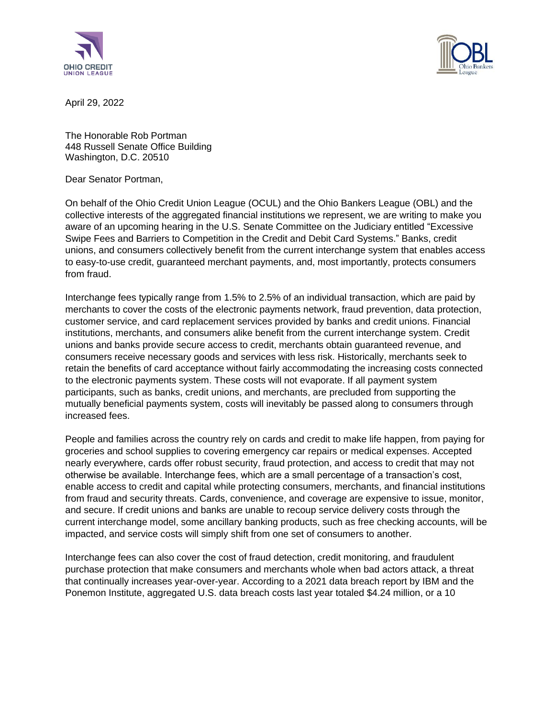



April 29, 2022

The Honorable Rob Portman 448 Russell Senate Office Building Washington, D.C. 20510

Dear Senator Portman,

On behalf of the Ohio Credit Union League (OCUL) and the Ohio Bankers League (OBL) and the collective interests of the aggregated financial institutions we represent, we are writing to make you aware of an upcoming hearing in the U.S. Senate Committee on the Judiciary entitled "Excessive Swipe Fees and Barriers to Competition in the Credit and Debit Card Systems." Banks, credit unions, and consumers collectively benefit from the current interchange system that enables access to easy-to-use credit, guaranteed merchant payments, and, most importantly, protects consumers from fraud.

Interchange fees typically range from 1.5% to 2.5% of an individual transaction, which are paid by merchants to cover the costs of the electronic payments network, fraud prevention, data protection, customer service, and card replacement services provided by banks and credit unions. Financial institutions, merchants, and consumers alike benefit from the current interchange system. Credit unions and banks provide secure access to credit, merchants obtain guaranteed revenue, and consumers receive necessary goods and services with less risk. Historically, merchants seek to retain the benefits of card acceptance without fairly accommodating the increasing costs connected to the electronic payments system. These costs will not evaporate. If all payment system participants, such as banks, credit unions, and merchants, are precluded from supporting the mutually beneficial payments system, costs will inevitably be passed along to consumers through increased fees.

People and families across the country rely on cards and credit to make life happen, from paying for groceries and school supplies to covering emergency car repairs or medical expenses. Accepted nearly everywhere, cards offer robust security, fraud protection, and access to credit that may not otherwise be available. Interchange fees, which are a small percentage of a transaction's cost, enable access to credit and capital while protecting consumers, merchants, and financial institutions from fraud and security threats. Cards, convenience, and coverage are expensive to issue, monitor, and secure. If credit unions and banks are unable to recoup service delivery costs through the current interchange model, some ancillary banking products, such as free checking accounts, will be impacted, and service costs will simply shift from one set of consumers to another.

Interchange fees can also cover the cost of fraud detection, credit monitoring, and fraudulent purchase protection that make consumers and merchants whole when bad actors attack, a threat that continually increases year-over-year. According to a 2021 data breach report by IBM and the Ponemon Institute, aggregated U.S. data breach costs last year totaled \$4.24 million, or a 10